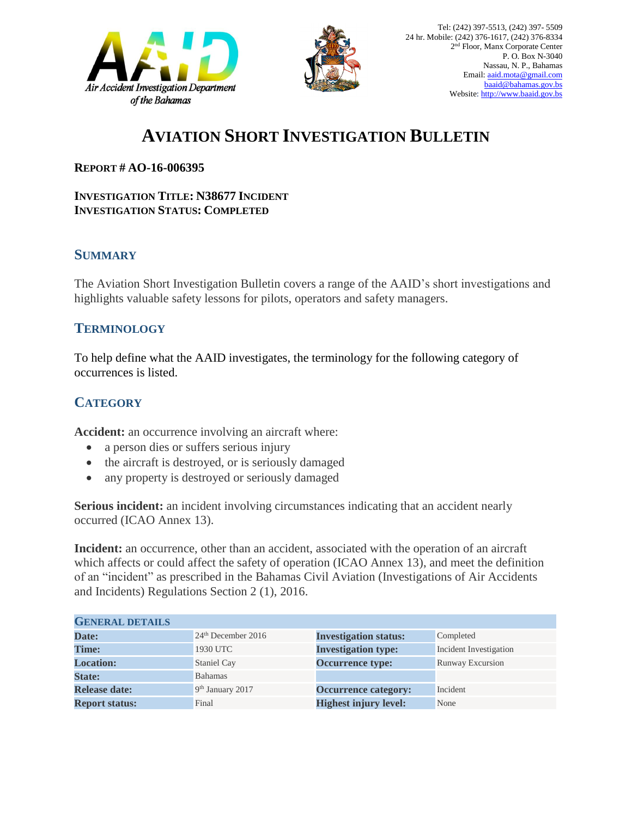



# **AVIATION SHORT INVESTIGATION BULLETIN**

#### **REPORT # AO-16-006395**

#### **INVESTIGATION TITLE: N38677 INCIDENT INVESTIGATION STATUS: COMPLETED**

### **SUMMARY**

The Aviation Short Investigation Bulletin covers a range of the AAID's short investigations and highlights valuable safety lessons for pilots, operators and safety managers.

#### **TERMINOLOGY**

To help define what the AAID investigates, the terminology for the following category of occurrences is listed.

## **CATEGORY**

**Accident:** an occurrence involving an aircraft where:

- a person dies or suffers serious injury
- the aircraft is destroyed, or is seriously damaged
- any property is destroyed or seriously damaged

**Serious incident:** an incident involving circumstances indicating that an accident nearly occurred (ICAO Annex 13).

**Incident:** an occurrence, other than an accident, associated with the operation of an aircraft which affects or could affect the safety of operation (ICAO Annex 13), and meet the definition of an "incident" as prescribed in the Bahamas Civil Aviation (Investigations of Air Accidents and Incidents) Regulations Section 2 (1), 2016.

| <b>GENERAL DETAILS</b> |                                |                              |                         |
|------------------------|--------------------------------|------------------------------|-------------------------|
| Date:                  | 24 <sup>th</sup> December 2016 | <b>Investigation status:</b> | Completed               |
| <b>Time:</b>           | 1930 UTC                       | <b>Investigation type:</b>   | Incident Investigation  |
| <b>Location:</b>       | Staniel Cay                    | <b>Occurrence type:</b>      | <b>Runway Excursion</b> |
| <b>State:</b>          | <b>Bahamas</b>                 |                              |                         |
| <b>Release date:</b>   | 9 <sup>th</sup> January 2017   | <b>Occurrence category:</b>  | Incident                |
| <b>Report status:</b>  | Final                          | <b>Highest injury level:</b> | None                    |